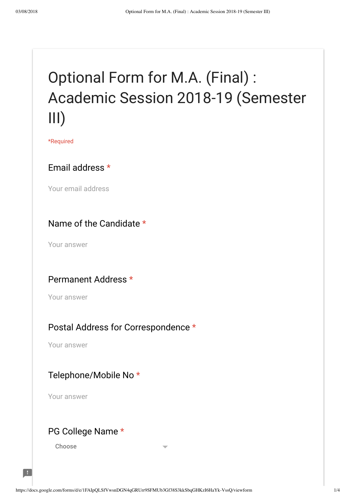# Optional Form for M.A. (Final) : Academic Session 2018-19 (Semester III)

\*Required

#### Email address \*

Your email address

#### Name of the Candidate \*

Your answer

#### Permanent Address \*

Your answer

#### Postal Address for Correspondence \*

Your answer

#### Telephone/Mobile No \*

Your answer

#### PG College Name \*

Choose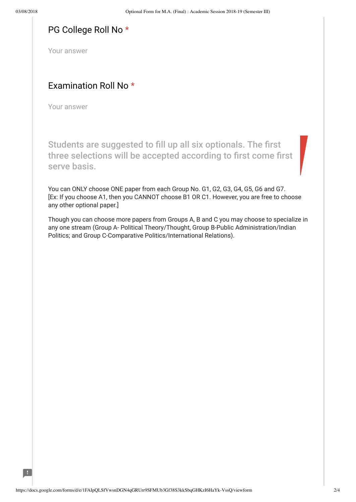$\mathcal{A}$ 

#### PG College Roll No \*

Your answer

#### Examination Roll No \*

Your answer

Students are suggested to fill up all six optionals. The first three selections will be accepted according to first come first serve basis.

You can ONLY choose ONE paper from each Group No. G1, G2, G3, G4, G5, G6 and G7. [Ex: If you choose A1, then you CANNOT choose B1 OR C1. However, you are free to choose any other optional paper.]

Though you can choose more papers from Groups A, B and C you may choose to specialize in any one stream (Group A- Political Theory/Thought, Group B-Public Administration/Indian Politics; and Group C-Comparative Politics/International Relations).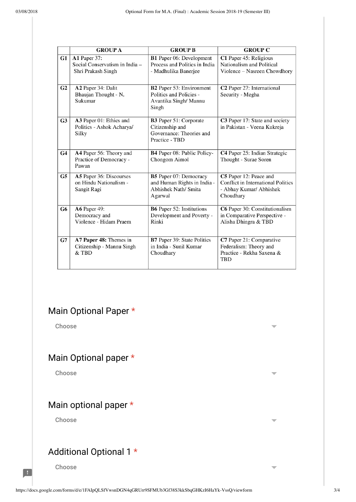|                | <b>GROUP A</b>                                                       | <b>GROUP B</b>                                                                               | <b>GROUP C</b>                                                                                              |
|----------------|----------------------------------------------------------------------|----------------------------------------------------------------------------------------------|-------------------------------------------------------------------------------------------------------------|
| G1             | A1 Paper 37:<br>Social Conservatism in India -<br>Shri Prakash Singh | <b>B1</b> Paper 06: Development<br>Process and Politics in India<br>- Madhulika Banerjee     | C1 Paper 45: Religious<br>Nationalism and Political<br>Violence - Nasreen Chowdhory                         |
| G <sub>2</sub> | A2 Paper 34: Dalit<br>Bhaujan Thought - N.<br>Sukumar                | <b>B2</b> Paper 53: Environment<br>Politics and Policies -<br>Avantika Singh/ Mannu<br>Singh | C2 Paper 27: International<br>Security - Megha                                                              |
| G <sub>3</sub> | A3 Paper 01: Ethics and<br>Politics - Ashok Acharya/<br>Silky        | B3 Paper 51: Corporate<br>Citizenship and<br>Governance: Theories and<br>Practice - TBD      | C3 Paper 17: State and society<br>in Pakistan - Veena Kukreja                                               |
| G <sub>4</sub> | A4 Paper 56: Theory and<br>Practice of Democracy -<br>Pawan          | <b>B4</b> Paper 08: Public Policy-<br>Chongom Aimol                                          | C4 Paper 25: Indian Strategic<br>Thought - Surae Soren                                                      |
| G5             | A5 Paper 36: Discourses<br>on Hindu Nationalism -<br>Sangit Ragi     | B5 Paper 07: Democracy<br>and Human Rights in India -<br>Abhishek Nath/ Smita<br>Agarwal     | C5 Paper 12: Peace and<br><b>Conflict in International Politics</b><br>- Abhay Kumar/ Abhishek<br>Choudhary |
| G6             | <b>A6</b> Paper 49:<br>Democracy and<br>Violence - Hidam Praem       | <b>B6</b> Paper 52: Institutions<br>Development and Poverty -<br>Rinki                       | C6 Paper 30: Constitutionalism<br>in Comparative Perspective -<br>Alisha Dhingra & TBD                      |
| G7             | A7 Paper 48: Themes in<br>Citizenship - Mannu Singh<br>& TBD         | B7 Paper 39: State Politics<br>in India - Sunil Kumar<br>Choudhary                           | C7 Paper 21: Comparative<br>Federalism: Theory and<br>Practice - Rekha Saxena &<br>TBD                      |

### Main Optional Paper \*

Choose

# Main Optional paper \*

Choose

# Main optional paper \*

Choose

# Additional Optional 1 \*

Choose

 $\blacksquare$